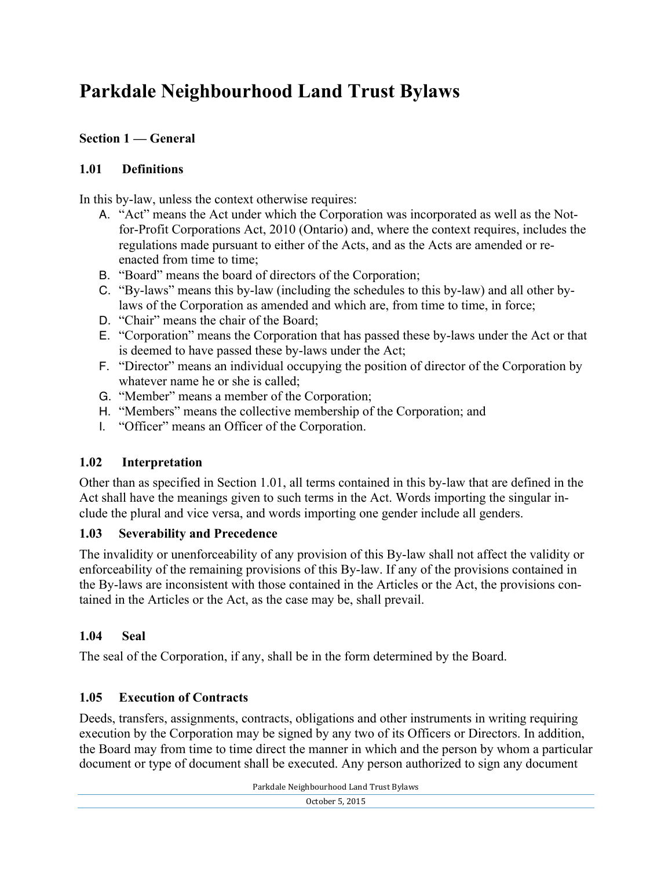# **Parkdale Neighbourhood Land Trust Bylaws**

## **Section 1 — General**

## **1.01 Definitions**

In this by-law, unless the context otherwise requires:

- A. "Act" means the Act under which the Corporation was incorporated as well as the Notfor-Profit Corporations Act, 2010 (Ontario) and, where the context requires, includes the regulations made pursuant to either of the Acts, and as the Acts are amended or reenacted from time to time;
- B. "Board" means the board of directors of the Corporation;
- C. "By-laws" means this by-law (including the schedules to this by-law) and all other bylaws of the Corporation as amended and which are, from time to time, in force;
- D. "Chair" means the chair of the Board;
- E. "Corporation" means the Corporation that has passed these by-laws under the Act or that is deemed to have passed these by-laws under the Act;
- F. "Director" means an individual occupying the position of director of the Corporation by whatever name he or she is called;
- G. "Member" means a member of the Corporation;
- H. "Members" means the collective membership of the Corporation; and
- I. "Officer" means an Officer of the Corporation.

## **1.02 Interpretation**

Other than as specified in Section 1.01, all terms contained in this by-law that are defined in the Act shall have the meanings given to such terms in the Act. Words importing the singular include the plural and vice versa, and words importing one gender include all genders.

## **1.03 Severability and Precedence**

The invalidity or unenforceability of any provision of this By-law shall not affect the validity or enforceability of the remaining provisions of this By-law. If any of the provisions contained in the By-laws are inconsistent with those contained in the Articles or the Act, the provisions contained in the Articles or the Act, as the case may be, shall prevail.

## **1.04 Seal**

The seal of the Corporation, if any, shall be in the form determined by the Board.

## **1.05 Execution of Contracts**

Deeds, transfers, assignments, contracts, obligations and other instruments in writing requiring execution by the Corporation may be signed by any two of its Officers or Directors. In addition, the Board may from time to time direct the manner in which and the person by whom a particular document or type of document shall be executed. Any person authorized to sign any document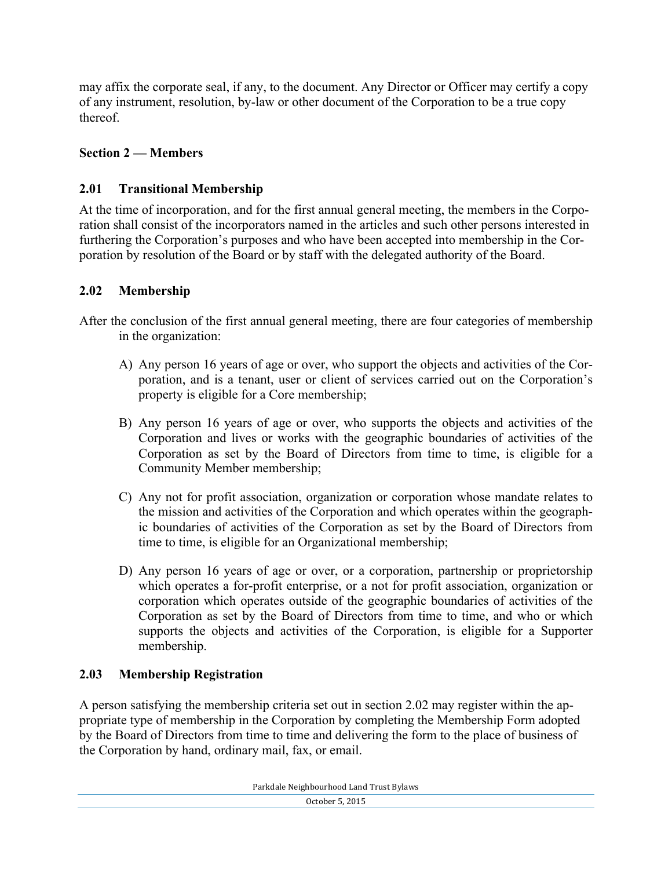may affix the corporate seal, if any, to the document. Any Director or Officer may certify a copy of any instrument, resolution, by-law or other document of the Corporation to be a true copy thereof.

## **Section 2 — Members**

## **2.01 Transitional Membership**

At the time of incorporation, and for the first annual general meeting, the members in the Corporation shall consist of the incorporators named in the articles and such other persons interested in furthering the Corporation's purposes and who have been accepted into membership in the Corporation by resolution of the Board or by staff with the delegated authority of the Board.

## **2.02 Membership**

After the conclusion of the first annual general meeting, there are four categories of membership in the organization:

- A) Any person 16 years of age or over, who support the objects and activities of the Corporation, and is a tenant, user or client of services carried out on the Corporation's property is eligible for a Core membership;
- B) Any person 16 years of age or over, who supports the objects and activities of the Corporation and lives or works with the geographic boundaries of activities of the Corporation as set by the Board of Directors from time to time, is eligible for a Community Member membership;
- C) Any not for profit association, organization or corporation whose mandate relates to the mission and activities of the Corporation and which operates within the geographic boundaries of activities of the Corporation as set by the Board of Directors from time to time, is eligible for an Organizational membership;
- D) Any person 16 years of age or over, or a corporation, partnership or proprietorship which operates a for-profit enterprise, or a not for profit association, organization or corporation which operates outside of the geographic boundaries of activities of the Corporation as set by the Board of Directors from time to time, and who or which supports the objects and activities of the Corporation, is eligible for a Supporter membership.

#### **2.03 Membership Registration**

A person satisfying the membership criteria set out in section 2.02 may register within the appropriate type of membership in the Corporation by completing the Membership Form adopted by the Board of Directors from time to time and delivering the form to the place of business of the Corporation by hand, ordinary mail, fax, or email.

| Parkdale Neighbourhood Land Trust Bylaws |
|------------------------------------------|
|------------------------------------------|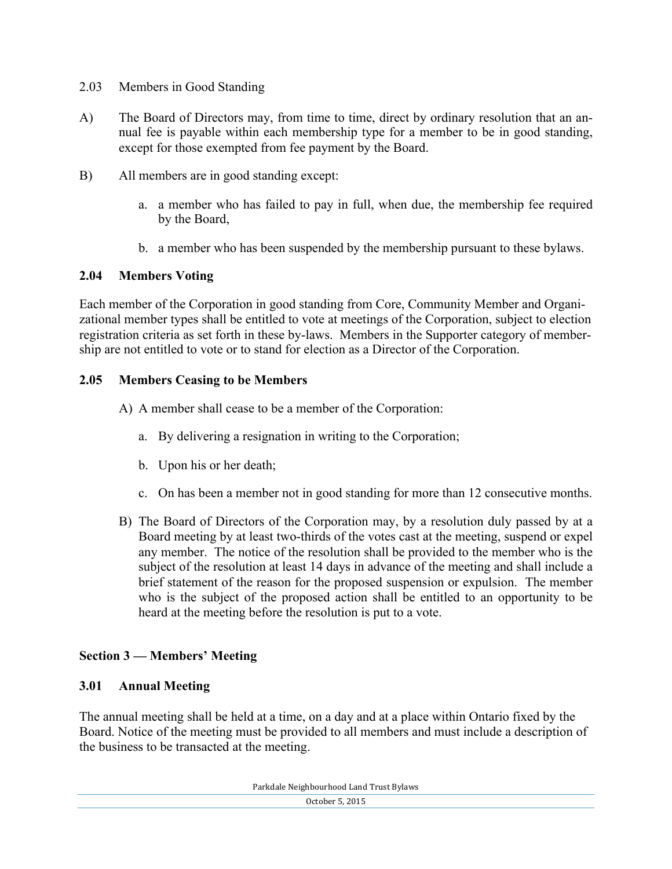- 2.03 Members in Good Standing
- A) The Board of Directors may, from time to time, direct by ordinary resolution that an annual fee is payable within each membership type for a member to be in good standing, except for those exempted from fee payment by the Board.
- B) All members are in good standing except:
	- a. a member who has failed to pay in full, when due, the membership fee required by the Board,
	- b. a member who has been suspended by the membership pursuant to these bylaws.

#### **2.04 Members Voting**

Each member of the Corporation in good standing from Core, Community Member and Organizational member types shall be entitled to vote at meetings of the Corporation, subject to election registration criteria as set forth in these by-laws. Members in the Supporter category of membership are not entitled to vote or to stand for election as a Director of the Corporation.

#### **2.05 Members Ceasing to be Members**

- A) A member shall cease to be a member of the Corporation:
	- a. By delivering a resignation in writing to the Corporation;
	- b. Upon his or her death;
	- c. On has been a member not in good standing for more than 12 consecutive months.
- B) The Board of Directors of the Corporation may, by a resolution duly passed by at a Board meeting by at least two-thirds of the votes cast at the meeting, suspend or expel any member. The notice of the resolution shall be provided to the member who is the subject of the resolution at least 14 days in advance of the meeting and shall include a brief statement of the reason for the proposed suspension or expulsion. The member who is the subject of the proposed action shall be entitled to an opportunity to be heard at the meeting before the resolution is put to a vote.

#### **Section 3 — Members' Meeting**

#### **3.01 Annual Meeting**

The annual meeting shall be held at a time, on a day and at a place within Ontario fixed by the Board. Notice of the meeting must be provided to all members and must include a description of the business to be transacted at the meeting.

Parkdale Neighbourhood Land Trust Bylaws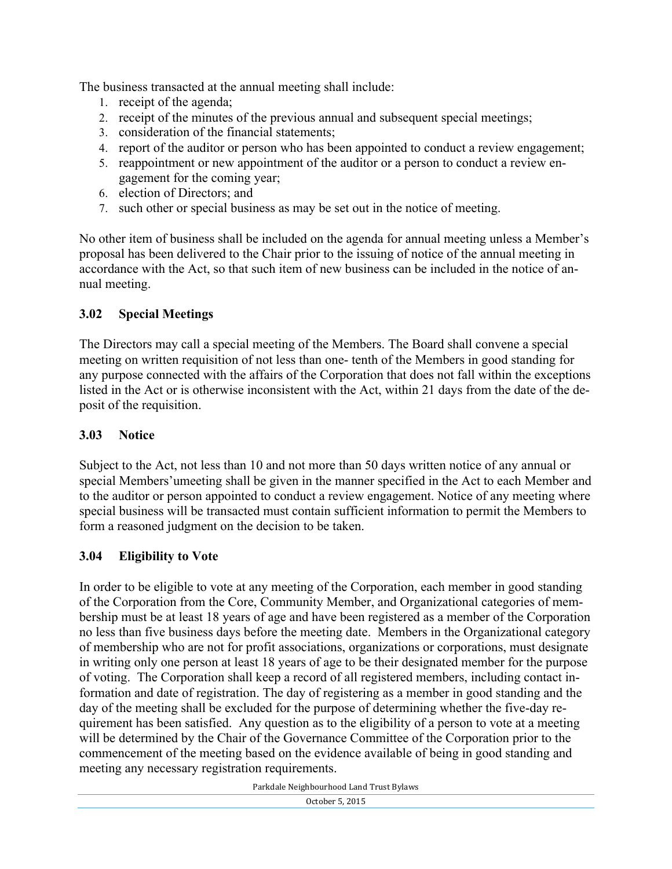The business transacted at the annual meeting shall include:

- 1. receipt of the agenda;
- 2. receipt of the minutes of the previous annual and subsequent special meetings;
- 3. consideration of the financial statements;
- 4. report of the auditor or person who has been appointed to conduct a review engagement;
- 5. reappointment or new appointment of the auditor or a person to conduct a review engagement for the coming year;
- 6. election of Directors; and
- 7. such other or special business as may be set out in the notice of meeting.

No other item of business shall be included on the agenda for annual meeting unless a Member's proposal has been delivered to the Chair prior to the issuing of notice of the annual meeting in accordance with the Act, so that such item of new business can be included in the notice of annual meeting.

## **3.02 Special Meetings**

The Directors may call a special meeting of the Members. The Board shall convene a special meeting on written requisition of not less than one- tenth of the Members in good standing for any purpose connected with the affairs of the Corporation that does not fall within the exceptions listed in the Act or is otherwise inconsistent with the Act, within 21 days from the date of the deposit of the requisition.

#### **3.03 Notice**

Subject to the Act, not less than 10 and not more than 50 days written notice of any annual or special Members'umeeting shall be given in the manner specified in the Act to each Member and to the auditor or person appointed to conduct a review engagement. Notice of any meeting where special business will be transacted must contain sufficient information to permit the Members to form a reasoned judgment on the decision to be taken.

#### **3.04 Eligibility to Vote**

In order to be eligible to vote at any meeting of the Corporation, each member in good standing of the Corporation from the Core, Community Member, and Organizational categories of membership must be at least 18 years of age and have been registered as a member of the Corporation no less than five business days before the meeting date. Members in the Organizational category of membership who are not for profit associations, organizations or corporations, must designate in writing only one person at least 18 years of age to be their designated member for the purpose of voting. The Corporation shall keep a record of all registered members, including contact information and date of registration. The day of registering as a member in good standing and the day of the meeting shall be excluded for the purpose of determining whether the five-day requirement has been satisfied. Any question as to the eligibility of a person to vote at a meeting will be determined by the Chair of the Governance Committee of the Corporation prior to the commencement of the meeting based on the evidence available of being in good standing and meeting any necessary registration requirements.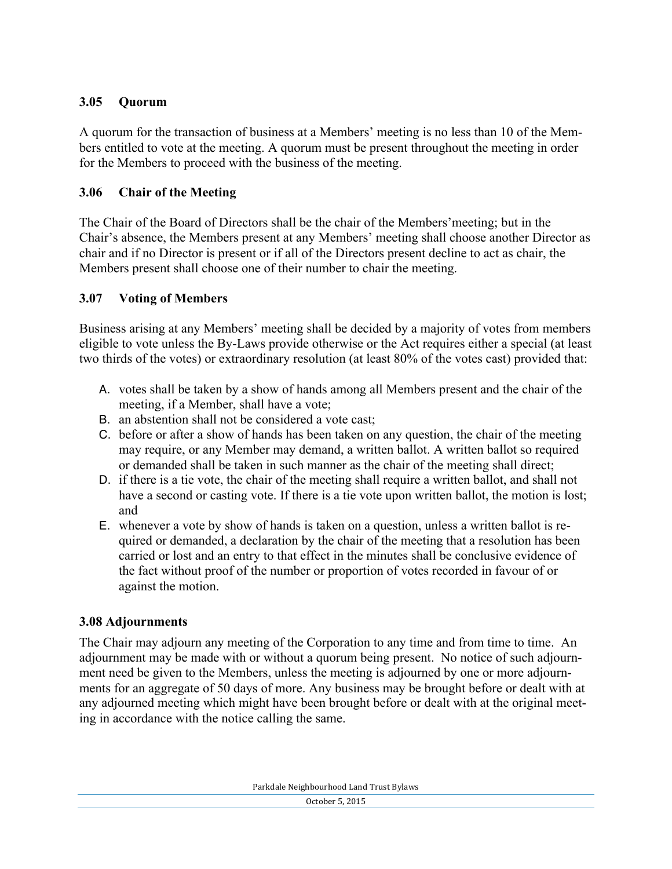## **3.05 Quorum**

A quorum for the transaction of business at a Members' meeting is no less than 10 of the Members entitled to vote at the meeting. A quorum must be present throughout the meeting in order for the Members to proceed with the business of the meeting.

## **3.06 Chair of the Meeting**

The Chair of the Board of Directors shall be the chair of the Members'meeting; but in the Chair's absence, the Members present at any Members' meeting shall choose another Director as chair and if no Director is present or if all of the Directors present decline to act as chair, the Members present shall choose one of their number to chair the meeting.

## **3.07 Voting of Members**

Business arising at any Members' meeting shall be decided by a majority of votes from members eligible to vote unless the By-Laws provide otherwise or the Act requires either a special (at least two thirds of the votes) or extraordinary resolution (at least 80% of the votes cast) provided that:

- A. votes shall be taken by a show of hands among all Members present and the chair of the meeting, if a Member, shall have a vote;
- B. an abstention shall not be considered a vote cast;
- C. before or after a show of hands has been taken on any question, the chair of the meeting may require, or any Member may demand, a written ballot. A written ballot so required or demanded shall be taken in such manner as the chair of the meeting shall direct;
- D. if there is a tie vote, the chair of the meeting shall require a written ballot, and shall not have a second or casting vote. If there is a tie vote upon written ballot, the motion is lost; and
- E. whenever a vote by show of hands is taken on a question, unless a written ballot is required or demanded, a declaration by the chair of the meeting that a resolution has been carried or lost and an entry to that effect in the minutes shall be conclusive evidence of the fact without proof of the number or proportion of votes recorded in favour of or against the motion.

#### **3.08 Adjournments**

The Chair may adjourn any meeting of the Corporation to any time and from time to time. An adjournment may be made with or without a quorum being present. No notice of such adjournment need be given to the Members, unless the meeting is adjourned by one or more adjournments for an aggregate of 50 days of more. Any business may be brought before or dealt with at any adjourned meeting which might have been brought before or dealt with at the original meeting in accordance with the notice calling the same.

Parkdale Neighbourhood Land Trust Bylaws October 5, 2015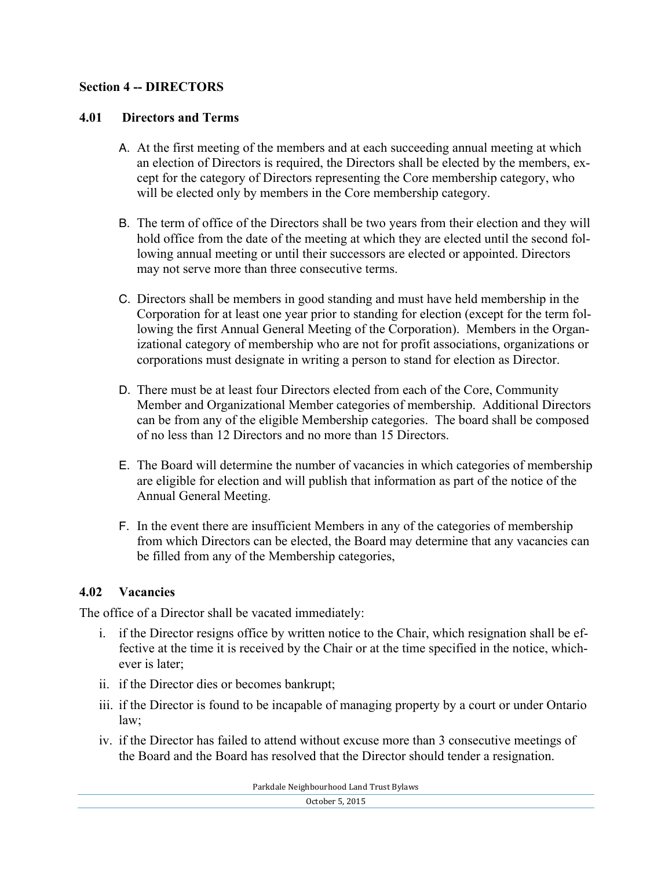#### **Section 4 -- DIRECTORS**

#### **4.01 Directors and Terms**

- A. At the first meeting of the members and at each succeeding annual meeting at which an election of Directors is required, the Directors shall be elected by the members, except for the category of Directors representing the Core membership category, who will be elected only by members in the Core membership category.
- B. The term of office of the Directors shall be two years from their election and they will hold office from the date of the meeting at which they are elected until the second following annual meeting or until their successors are elected or appointed. Directors may not serve more than three consecutive terms.
- C. Directors shall be members in good standing and must have held membership in the Corporation for at least one year prior to standing for election (except for the term following the first Annual General Meeting of the Corporation). Members in the Organizational category of membership who are not for profit associations, organizations or corporations must designate in writing a person to stand for election as Director.
- D. There must be at least four Directors elected from each of the Core, Community Member and Organizational Member categories of membership. Additional Directors can be from any of the eligible Membership categories. The board shall be composed of no less than 12 Directors and no more than 15 Directors.
- E. The Board will determine the number of vacancies in which categories of membership are eligible for election and will publish that information as part of the notice of the Annual General Meeting.
- F. In the event there are insufficient Members in any of the categories of membership from which Directors can be elected, the Board may determine that any vacancies can be filled from any of the Membership categories,

## **4.02 Vacancies**

The office of a Director shall be vacated immediately:

- i. if the Director resigns office by written notice to the Chair, which resignation shall be effective at the time it is received by the Chair or at the time specified in the notice, whichever is later;
- ii. if the Director dies or becomes bankrupt;
- iii. if the Director is found to be incapable of managing property by a court or under Ontario law;
- iv. if the Director has failed to attend without excuse more than 3 consecutive meetings of the Board and the Board has resolved that the Director should tender a resignation.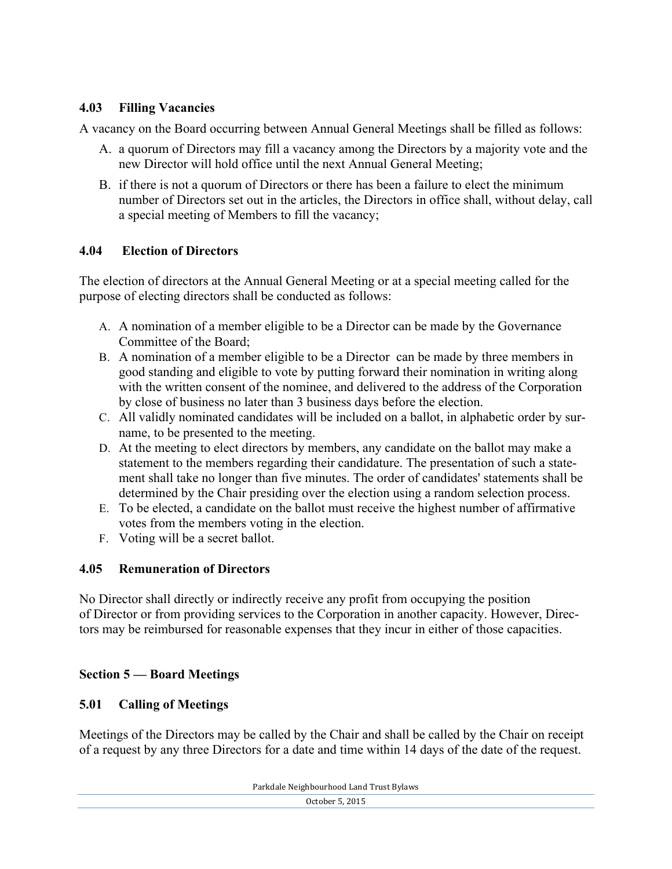#### **4.03 Filling Vacancies**

A vacancy on the Board occurring between Annual General Meetings shall be filled as follows:

- A. a quorum of Directors may fill a vacancy among the Directors by a majority vote and the new Director will hold office until the next Annual General Meeting;
- B. if there is not a quorum of Directors or there has been a failure to elect the minimum number of Directors set out in the articles, the Directors in office shall, without delay, call a special meeting of Members to fill the vacancy;

## **4.04 Election of Directors**

The election of directors at the Annual General Meeting or at a special meeting called for the purpose of electing directors shall be conducted as follows:

- A. A nomination of a member eligible to be a Director can be made by the Governance Committee of the Board;
- B. A nomination of a member eligible to be a Director can be made by three members in good standing and eligible to vote by putting forward their nomination in writing along with the written consent of the nominee, and delivered to the address of the Corporation by close of business no later than 3 business days before the election.
- C. All validly nominated candidates will be included on a ballot, in alphabetic order by surname, to be presented to the meeting.
- D. At the meeting to elect directors by members, any candidate on the ballot may make a statement to the members regarding their candidature. The presentation of such a statement shall take no longer than five minutes. The order of candidates' statements shall be determined by the Chair presiding over the election using a random selection process.
- E. To be elected, a candidate on the ballot must receive the highest number of affirmative votes from the members voting in the election.
- F. Voting will be a secret ballot.

## **4.05 Remuneration of Directors**

No Director shall directly or indirectly receive any profit from occupying the position of Director or from providing services to the Corporation in another capacity. However, Directors may be reimbursed for reasonable expenses that they incur in either of those capacities.

## **Section 5 — Board Meetings**

#### **5.01 Calling of Meetings**

Meetings of the Directors may be called by the Chair and shall be called by the Chair on receipt of a request by any three Directors for a date and time within 14 days of the date of the request.

Parkdale Neighbourhood Land Trust Bylaws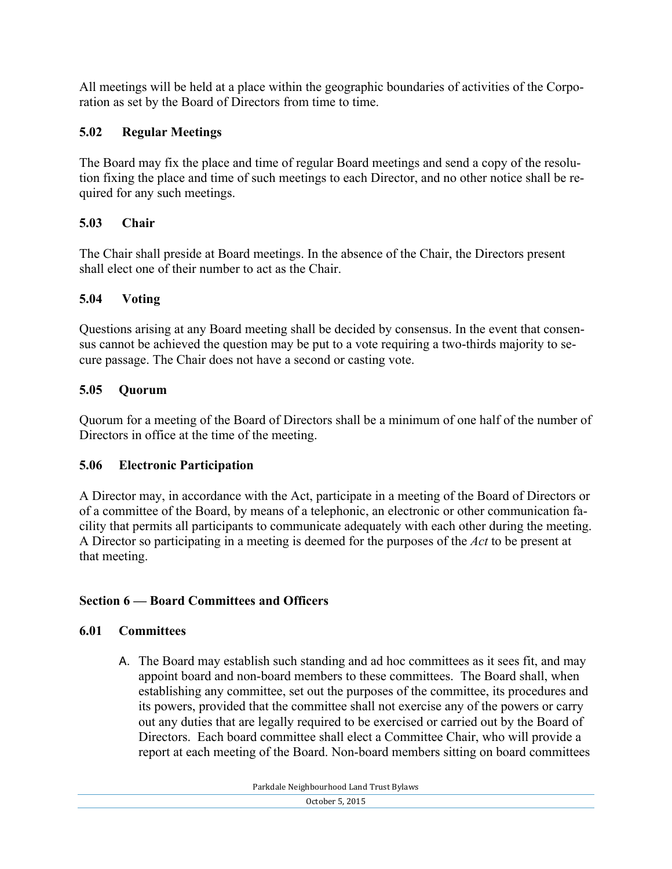All meetings will be held at a place within the geographic boundaries of activities of the Corporation as set by the Board of Directors from time to time.

# **5.02 Regular Meetings**

The Board may fix the place and time of regular Board meetings and send a copy of the resolution fixing the place and time of such meetings to each Director, and no other notice shall be required for any such meetings.

# **5.03 Chair**

The Chair shall preside at Board meetings. In the absence of the Chair, the Directors present shall elect one of their number to act as the Chair.

# **5.04 Voting**

Questions arising at any Board meeting shall be decided by consensus. In the event that consensus cannot be achieved the question may be put to a vote requiring a two-thirds majority to secure passage. The Chair does not have a second or casting vote.

# **5.05 Quorum**

Quorum for a meeting of the Board of Directors shall be a minimum of one half of the number of Directors in office at the time of the meeting.

## **5.06 Electronic Participation**

A Director may, in accordance with the Act, participate in a meeting of the Board of Directors or of a committee of the Board, by means of a telephonic, an electronic or other communication facility that permits all participants to communicate adequately with each other during the meeting. A Director so participating in a meeting is deemed for the purposes of the *Act* to be present at that meeting.

# **Section 6 — Board Committees and Officers**

# **6.01 Committees**

A. The Board may establish such standing and ad hoc committees as it sees fit, and may appoint board and non-board members to these committees. The Board shall, when establishing any committee, set out the purposes of the committee, its procedures and its powers, provided that the committee shall not exercise any of the powers or carry out any duties that are legally required to be exercised or carried out by the Board of Directors. Each board committee shall elect a Committee Chair, who will provide a report at each meeting of the Board. Non-board members sitting on board committees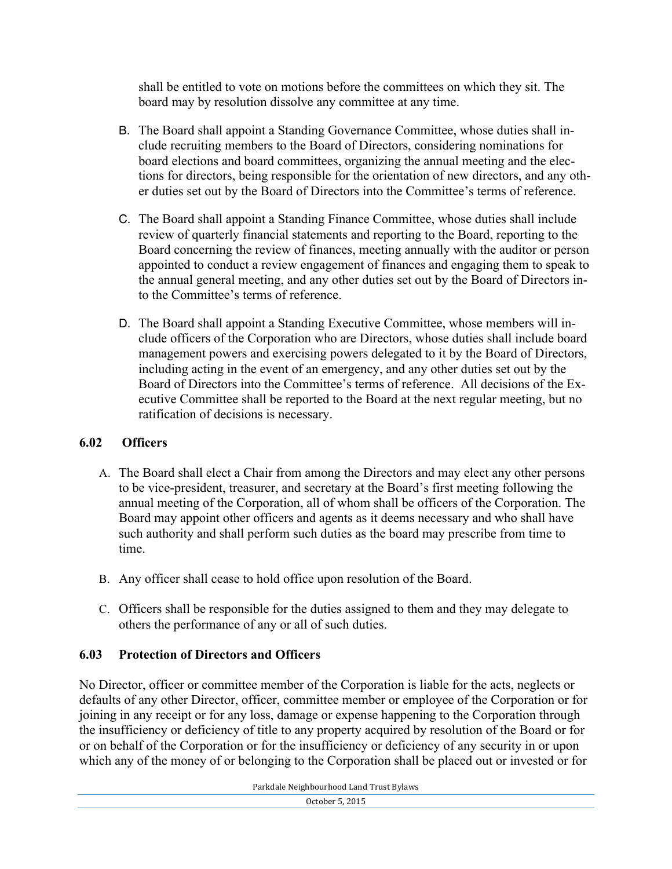shall be entitled to vote on motions before the committees on which they sit. The board may by resolution dissolve any committee at any time.

- B. The Board shall appoint a Standing Governance Committee, whose duties shall include recruiting members to the Board of Directors, considering nominations for board elections and board committees, organizing the annual meeting and the elections for directors, being responsible for the orientation of new directors, and any other duties set out by the Board of Directors into the Committee's terms of reference.
- C. The Board shall appoint a Standing Finance Committee, whose duties shall include review of quarterly financial statements and reporting to the Board, reporting to the Board concerning the review of finances, meeting annually with the auditor or person appointed to conduct a review engagement of finances and engaging them to speak to the annual general meeting, and any other duties set out by the Board of Directors into the Committee's terms of reference.
- D. The Board shall appoint a Standing Executive Committee, whose members will include officers of the Corporation who are Directors, whose duties shall include board management powers and exercising powers delegated to it by the Board of Directors, including acting in the event of an emergency, and any other duties set out by the Board of Directors into the Committee's terms of reference. All decisions of the Executive Committee shall be reported to the Board at the next regular meeting, but no ratification of decisions is necessary.

## **6.02 Officers**

- A. The Board shall elect a Chair from among the Directors and may elect any other persons to be vice-president, treasurer, and secretary at the Board's first meeting following the annual meeting of the Corporation, all of whom shall be officers of the Corporation. The Board may appoint other officers and agents as it deems necessary and who shall have such authority and shall perform such duties as the board may prescribe from time to time.
- B. Any officer shall cease to hold office upon resolution of the Board.
- C. Officers shall be responsible for the duties assigned to them and they may delegate to others the performance of any or all of such duties.

## **6.03 Protection of Directors and Officers**

No Director, officer or committee member of the Corporation is liable for the acts, neglects or defaults of any other Director, officer, committee member or employee of the Corporation or for joining in any receipt or for any loss, damage or expense happening to the Corporation through the insufficiency or deficiency of title to any property acquired by resolution of the Board or for or on behalf of the Corporation or for the insufficiency or deficiency of any security in or upon which any of the money of or belonging to the Corporation shall be placed out or invested or for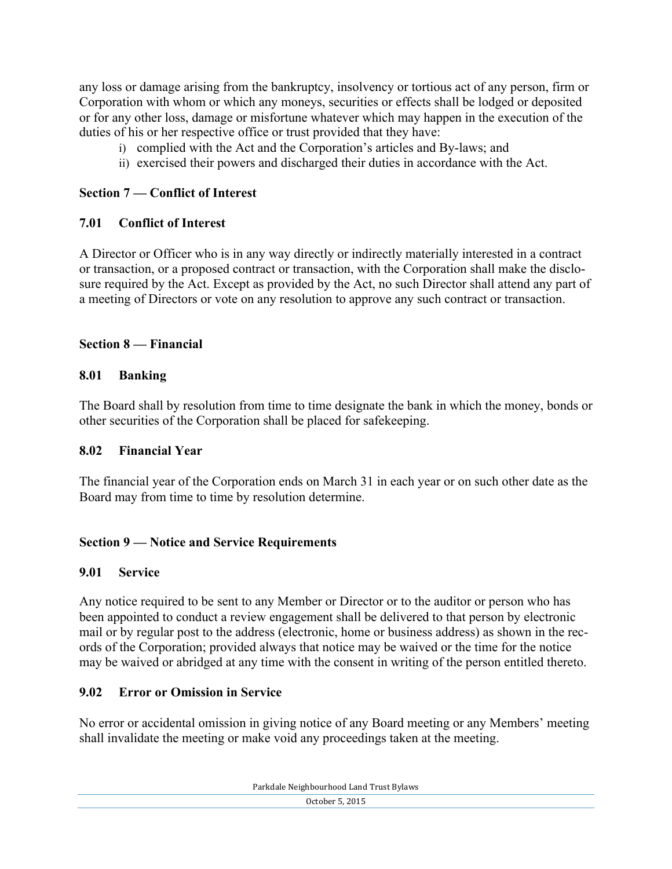any loss or damage arising from the bankruptcy, insolvency or tortious act of any person, firm or Corporation with whom or which any moneys, securities or effects shall be lodged or deposited or for any other loss, damage or misfortune whatever which may happen in the execution of the duties of his or her respective office or trust provided that they have:

- i) complied with the Act and the Corporation's articles and By-laws; and
- ii) exercised their powers and discharged their duties in accordance with the Act.

## **Section 7 — Conflict of Interest**

#### **7.01 Conflict of Interest**

A Director or Officer who is in any way directly or indirectly materially interested in a contract or transaction, or a proposed contract or transaction, with the Corporation shall make the disclosure required by the Act. Except as provided by the Act, no such Director shall attend any part of a meeting of Directors or vote on any resolution to approve any such contract or transaction.

## **Section 8 — Financial**

#### **8.01 Banking**

The Board shall by resolution from time to time designate the bank in which the money, bonds or other securities of the Corporation shall be placed for safekeeping.

#### **8.02 Financial Year**

The financial year of the Corporation ends on March 31 in each year or on such other date as the Board may from time to time by resolution determine.

#### **Section 9 — Notice and Service Requirements**

#### **9.01 Service**

Any notice required to be sent to any Member or Director or to the auditor or person who has been appointed to conduct a review engagement shall be delivered to that person by electronic mail or by regular post to the address (electronic, home or business address) as shown in the records of the Corporation; provided always that notice may be waived or the time for the notice may be waived or abridged at any time with the consent in writing of the person entitled thereto.

#### **9.02 Error or Omission in Service**

No error or accidental omission in giving notice of any Board meeting or any Members' meeting shall invalidate the meeting or make void any proceedings taken at the meeting.

Parkdale Neighbourhood Land Trust Bylaws